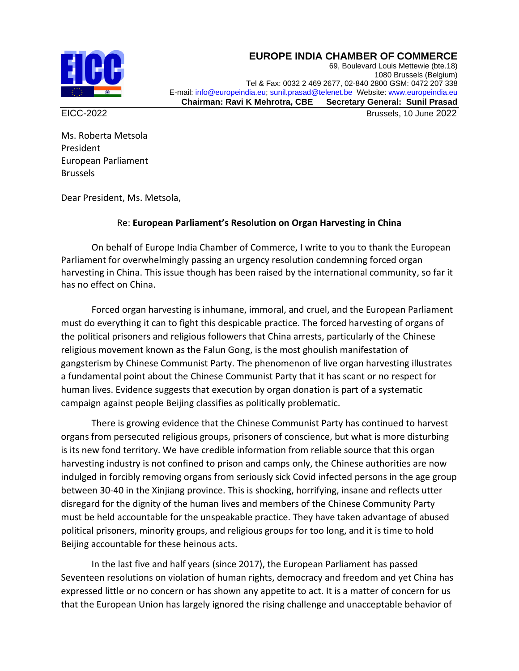## **EUROPE INDIA CHAMBER OF COMMERCE**



69, Boulevard Louis Mettewie (bte.18) 1080 Brussels (Belgium) Tel & Fax: 0032 2 469 2677, 02-840 2800 GSM: 0472 207 338 E-mail[: info@europeindia.eu;](mailto:info@europeindia.eu) [sunil.prasad@telenet.be](mailto:sunil.prasad@telenet.be) Website[: www.europeindia.eu](http://www.europeindia.eu/)  **Chairman: Ravi K Mehrotra, CBE Secretary General: Sunil Prasad**

EICC-2022 Brussels, 10 June 2022

Ms. Roberta Metsola President European Parliament Brussels

Dear President, Ms. Metsola,

## Re: **European Parliament's Resolution on Organ Harvesting in China**

On behalf of Europe India Chamber of Commerce, I write to you to thank the European Parliament for overwhelmingly passing an urgency resolution condemning forced organ harvesting in China. This issue though has been raised by the international community, so far it has no effect on China.

Forced organ harvesting is inhumane, immoral, and cruel, and the European Parliament must do everything it can to fight this despicable practice. The forced harvesting of organs of the political prisoners and religious followers that China arrests, particularly of the Chinese religious movement known as the Falun Gong, is the most ghoulish manifestation of gangsterism by Chinese Communist Party. The phenomenon of live organ harvesting illustrates a fundamental point about the Chinese Communist Party that it has scant or no respect for human lives. Evidence suggests that execution by organ donation is part of a systematic campaign against people Beijing classifies as politically problematic.

There is growing evidence that the Chinese Communist Party has continued to harvest organs from persecuted religious groups, prisoners of conscience, but what is more disturbing is its new fond territory. We have credible information from reliable source that this organ harvesting industry is not confined to prison and camps only, the Chinese authorities are now indulged in forcibly removing organs from seriously sick Covid infected persons in the age group between 30-40 in the Xinjiang province. This is shocking, horrifying, insane and reflects utter disregard for the dignity of the human lives and members of the Chinese Community Party must be held accountable for the unspeakable practice. They have taken advantage of abused political prisoners, minority groups, and religious groups for too long, and it is time to hold Beijing accountable for these heinous acts.

In the last five and half years (since 2017), the European Parliament has passed Seventeen resolutions on violation of human rights, democracy and freedom and yet China has expressed little or no concern or has shown any appetite to act. It is a matter of concern for us that the European Union has largely ignored the rising challenge and unacceptable behavior of